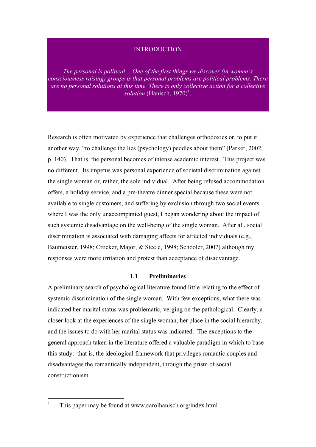## INTRODUCTION

*The personal is political… One of the first things we discover (in women's consciousness raising) groups is that personal problems are political problems. There are no personal solutions at this time. There is only collective action for a collective*  solution (Hanisch, 1970)<sup>1</sup>.

Research is often motivated by experience that challenges orthodoxies or, to put it another way, "to challenge the lies (psychology) peddles about them" (Parker, 2002, p. 140). That is, the personal becomes of intense academic interest. This project was no different. Its impetus was personal experience of societal discrimination against the single woman or, rather, the sole individual. After being refused accommodation offers, a holiday service, and a pre-theatre dinner special because these were not available to single customers, and suffering by exclusion through two social events where I was the only unaccompanied guest, I began wondering about the impact of such systemic disadvantage on the well-being of the single woman. After all, social discrimination is associated with damaging affects for affected individuals (e.g., Baumeister, 1998; Crocker, Major, & Steele, 1998; Schooler, 2007) although my responses were more irritation and protest than acceptance of disadvantage.

## **1.1 Preliminaries**

A preliminary search of psychological literature found little relating to the effect of systemic discrimination of the single woman. With few exceptions, what there was indicated her marital status was problematic, verging on the pathological. Clearly, a closer look at the experiences of the single woman, her place in the social hierarchy, and the issues to do with her marital status was indicated. The exceptions to the general approach taken in the literature offered a valuable paradigm in which to base this study: that is, the ideological framework that privileges romantic couples and disadvantages the romantically independent, through the prism of social constructionism.

 <sup>1</sup> This paper may be found at www.carolhanisch.org/index.html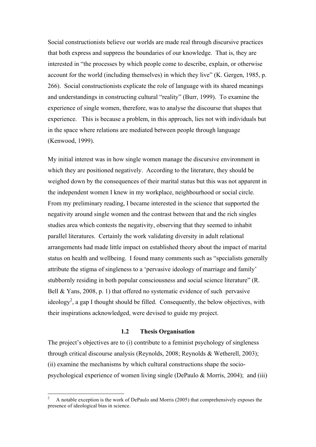Social constructionists believe our worlds are made real through discursive practices that both express and suppress the boundaries of our knowledge. That is, they are interested in "the processes by which people come to describe, explain, or otherwise account for the world (including themselves) in which they live" (K. Gergen, 1985, p. 266). Social constructionists explicate the role of language with its shared meanings and understandings in constructing cultural "reality" (Burr, 1999). To examine the experience of single women, therefore, was to analyse the discourse that shapes that experience. This is because a problem, in this approach, lies not with individuals but in the space where relations are mediated between people through language (Kenwood, 1999).

My initial interest was in how single women manage the discursive environment in which they are positioned negatively. According to the literature, they should be weighed down by the consequences of their marital status but this was not apparent in the independent women I knew in my workplace, neighbourhood or social circle. From my preliminary reading, I became interested in the science that supported the negativity around single women and the contrast between that and the rich singles studies area which contests the negativity, observing that they seemed to inhabit parallel literatures. Certainly the work validating diversity in adult relational arrangements had made little impact on established theory about the impact of marital status on health and wellbeing. I found many comments such as "specialists generally attribute the stigma of singleness to a 'pervasive ideology of marriage and family' stubbornly residing in both popular consciousness and social science literature" (R. Bell & Yans, 2008, p. 1) that offered no systematic evidence of such pervasive ideology<sup>2</sup>, a gap I thought should be filled. Consequently, the below objectives, with their inspirations acknowledged, were devised to guide my project.

## **1.2 Thesis Organisation**

The project's objectives are to (i) contribute to a feminist psychology of singleness through critical discourse analysis (Reynolds, 2008; Reynolds & Wetherell, 2003); (ii) examine the mechanisms by which cultural constructions shape the sociopsychological experience of women living single (DePaulo & Morris, 2004); and (iii)

 $\frac{1}{2}$ <sup>2</sup> A notable exception is the work of DePaulo and Morris (2005) that comprehensively exposes the presence of ideological bias in science.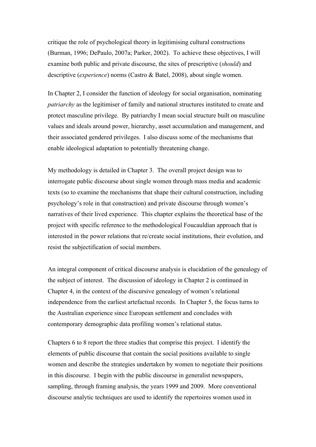critique the role of psychological theory in legitimising cultural constructions (Burman, 1996; DePaulo, 2007a; Parker, 2002). To achieve these objectives, I will examine both public and private discourse, the sites of prescriptive (*should*) and descriptive (*experience*) norms (Castro & Batel, 2008), about single women.

In Chapter 2, I consider the function of ideology for social organisation, nominating *patriarchy* as the legitimiser of family and national structures instituted to create and protect masculine privilege. By patriarchy I mean social structure built on masculine values and ideals around power, hierarchy, asset accumulation and management, and their associated gendered privileges. I also discuss some of the mechanisms that enable ideological adaptation to potentially threatening change.

My methodology is detailed in Chapter 3. The overall project design was to interrogate public discourse about single women through mass media and academic texts (so to examine the mechanisms that shape their cultural construction, including psychology's role in that construction) and private discourse through women's narratives of their lived experience. This chapter explains the theoretical base of the project with specific reference to the methodological Foucauldian approach that is interested in the power relations that re/create social institutions, their evolution, and resist the subjectification of social members.

An integral component of critical discourse analysis is elucidation of the genealogy of the subject of interest. The discussion of ideology in Chapter 2 is continued in Chapter 4, in the context of the discursive genealogy of women's relational independence from the earliest artefactual records. In Chapter 5, the focus turns to the Australian experience since European settlement and concludes with contemporary demographic data profiling women's relational status.

Chapters 6 to 8 report the three studies that comprise this project. I identify the elements of public discourse that contain the social positions available to single women and describe the strategies undertaken by women to negotiate their positions in this discourse. I begin with the public discourse in generalist newspapers, sampling, through framing analysis, the years 1999 and 2009. More conventional discourse analytic techniques are used to identify the repertoires women used in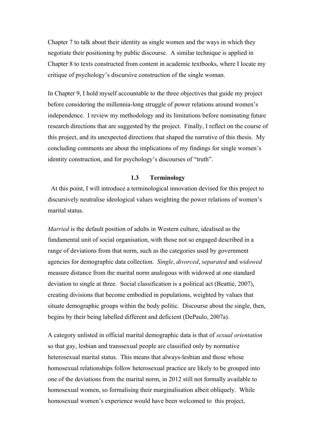Chapter 7 to talk about their identity as single women and the ways in which they negotiate their positioning by public discourse. A similar technique is applied in Chapter 8 to texts constructed from content in academic textbooks, where I locate my critique of psychology's discursive construction of the single woman.

In Chapter 9, I hold myself accountable to the three objectives that guide my project before considering the millennia-long struggle of power relations around women's independence. I review my methodology and its limitations before nominating future research directions that are suggested by the project. Finally, I reflect on the course of this project, and its unexpected directions that shaped the narrative of this thesis. My concluding comments are about the implications of my findings for single women's identity construction, and for psychology's discourses of "truth".

## **1.3 Terminology**

 At this point, I will introduce a terminological innovation devised for this project to discursively neutralise ideological values weighting the power relations of women's marital status.

*Married* is the default position of adults in Western culture, idealised as the fundamental unit of social organisation, with those not so engaged described in a range of deviations from that norm, such as the categories used by government agencies for demographic data collection. *Single*, *divorced*, *separated* and *widowed* measure distance from the marital norm analogous with widowed at one standard deviation to single at three. Social classification is a political act (Beattie, 2007), creating divisions that become embodied in populations, weighted by values that situate demographic groups within the body politic. Discourse about the single, then, begins by their being labelled different and deficient (DePaulo, 2007a).

A category unlisted in official marital demographic data is that of *sexual orientation* so that gay, lesbian and transsexual people are classified only by normative heterosexual marital status. This means that always-lesbian and those whose homosexual relationships follow heterosexual practice are likely to be grouped into one of the deviations from the marital norm, in 2012 still not formally available to homosexual women, so formalising their marginalisation albeit obliquely. While homosexual women's experience would have been welcomed to this project,